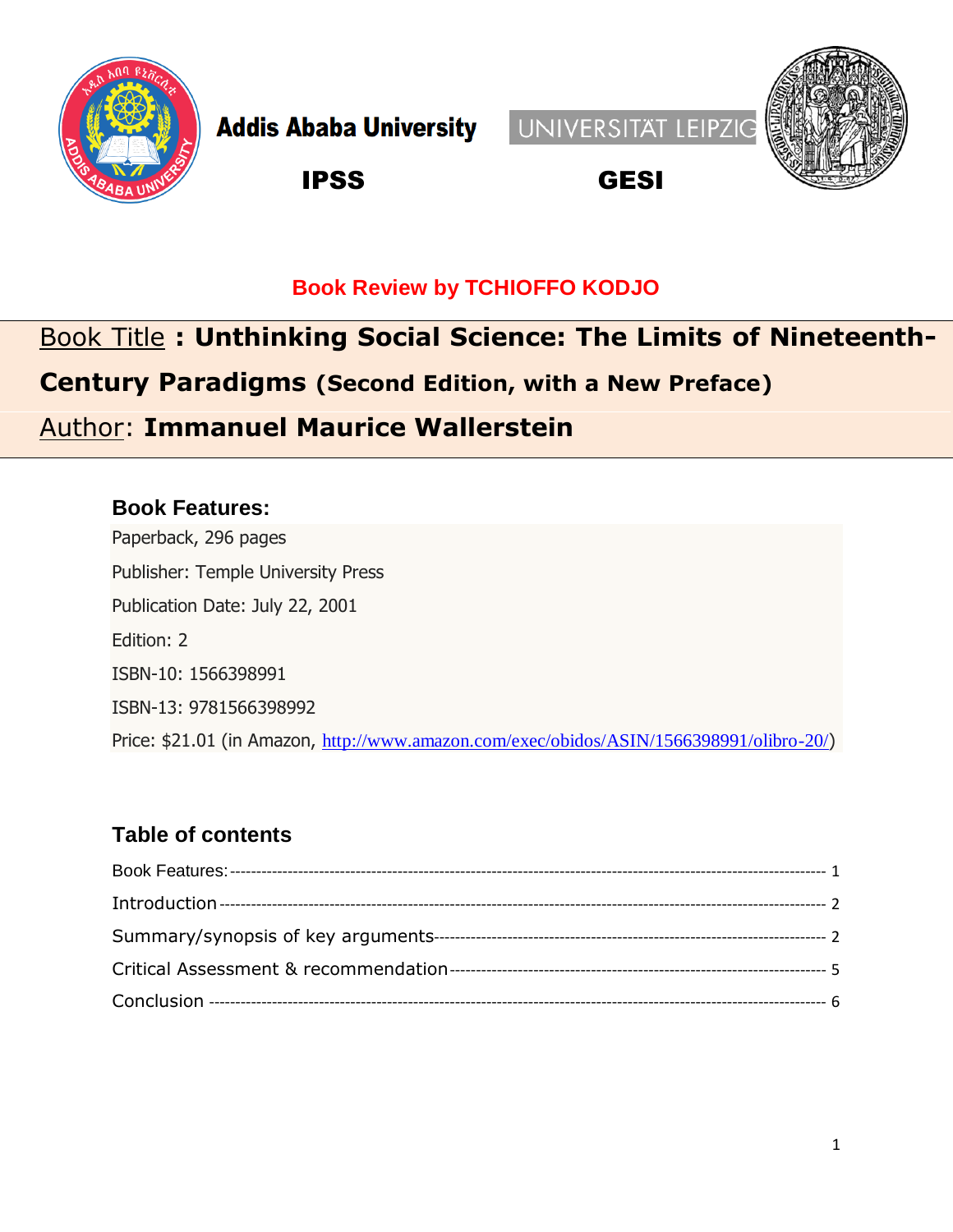

**Addis Ababa University** 





IPSS GESI

#### **Book Review by TCHIOFFO KODJO**

# Book Title **: Unthinking Social Science: The Limits of Nineteenth-Century Paradigms (Second Edition, with a New Preface)** Author: **Immanuel Maurice Wallerstein**

#### <span id="page-0-0"></span>**Book Features:**

Paperback, 296 pages Publisher: Temple University Press Publication Date: July 22, 2001 Edition: 2 ISBN-10: 1566398991 ISBN-13: 9781566398992 Price: \$21.01 (in Amazon, <http://www.amazon.com/exec/obidos/ASIN/1566398991/olibro-20/>)

#### **Table of contents**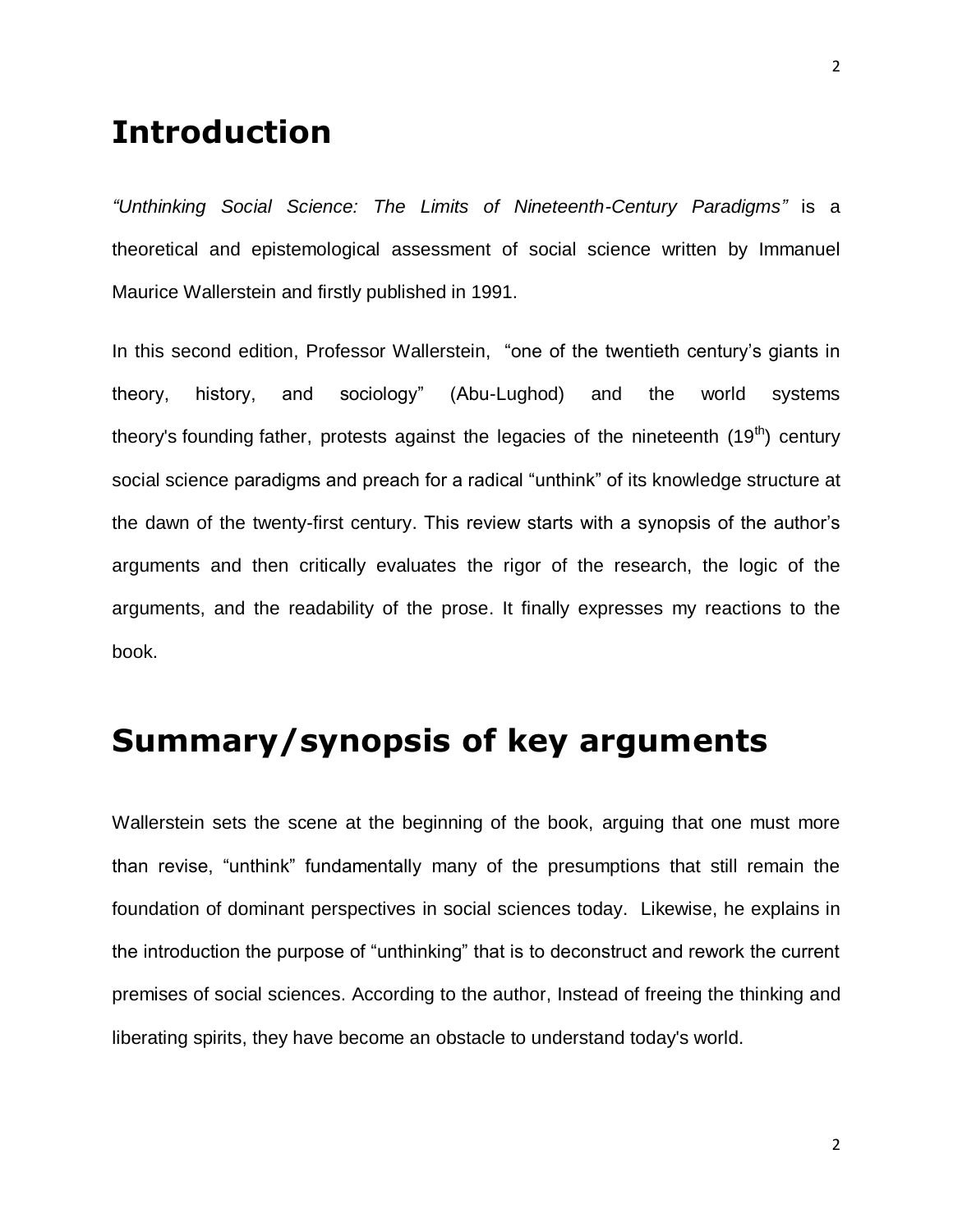### <span id="page-1-0"></span>**Introduction**

*"Unthinking Social Science: The Limits of Nineteenth-Century Paradigms"* is a theoretical and epistemological assessment of social science written by Immanuel Maurice Wallerstein and firstly published in 1991.

In this second edition, Professor Wallerstein, "one of the twentieth century's giants in theory, history, and sociology" (Abu-Lughod) and the world systems theory's founding father, protests against the legacies of the nineteenth  $(19<sup>th</sup>)$  century social science paradigms and preach for a radical "unthink" of its knowledge structure at the dawn of the twenty-first century. This review starts with a synopsis of the author's arguments and then critically evaluates the rigor of the research, the logic of the arguments, and the readability of the prose. It finally expresses my reactions to the book.

# <span id="page-1-1"></span>**Summary/synopsis of key arguments**

Wallerstein sets the scene at the beginning of the book, arguing that one must more than revise, "unthink" fundamentally many of the presumptions that still remain the foundation of dominant perspectives in social sciences today. Likewise, he explains in the introduction the purpose of "unthinking" that is to deconstruct and rework the current premises of social sciences. According to the author, Instead of freeing the thinking and liberating spirits, they have become an obstacle to understand today's world.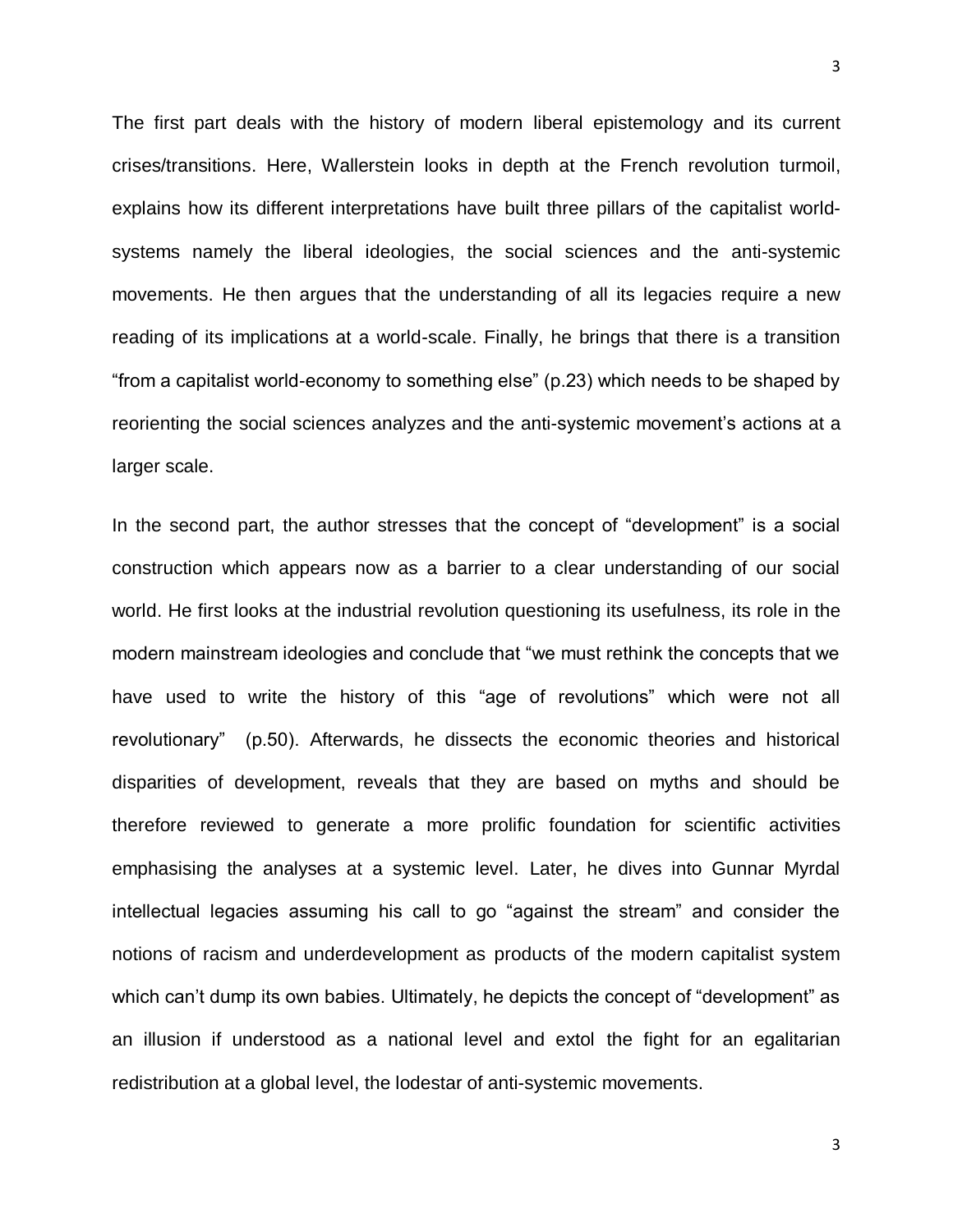The first part deals with the history of modern liberal epistemology and its current crises/transitions. Here, Wallerstein looks in depth at the French revolution turmoil, explains how its different interpretations have built three pillars of the capitalist worldsystems namely the liberal ideologies, the social sciences and the anti-systemic movements. He then argues that the understanding of all its legacies require a new reading of its implications at a world-scale. Finally, he brings that there is a transition "from a capitalist world-economy to something else" (p.23) which needs to be shaped by reorienting the social sciences analyzes and the anti-systemic movement's actions at a larger scale.

In the second part, the author stresses that the concept of "development" is a social construction which appears now as a barrier to a clear understanding of our social world. He first looks at the industrial revolution questioning its usefulness, its role in the modern mainstream ideologies and conclude that "we must rethink the concepts that we have used to write the history of this "age of revolutions" which were not all revolutionary" (p.50). Afterwards, he dissects the economic theories and historical disparities of development, reveals that they are based on myths and should be therefore reviewed to generate a more prolific foundation for scientific activities emphasising the analyses at a systemic level. Later, he dives into Gunnar Myrdal intellectual legacies assuming his call to go "against the stream" and consider the notions of racism and underdevelopment as products of the modern capitalist system which can't dump its own babies. Ultimately, he depicts the concept of "development" as an illusion if understood as a national level and extol the fight for an egalitarian redistribution at a global level, the lodestar of anti-systemic movements.

3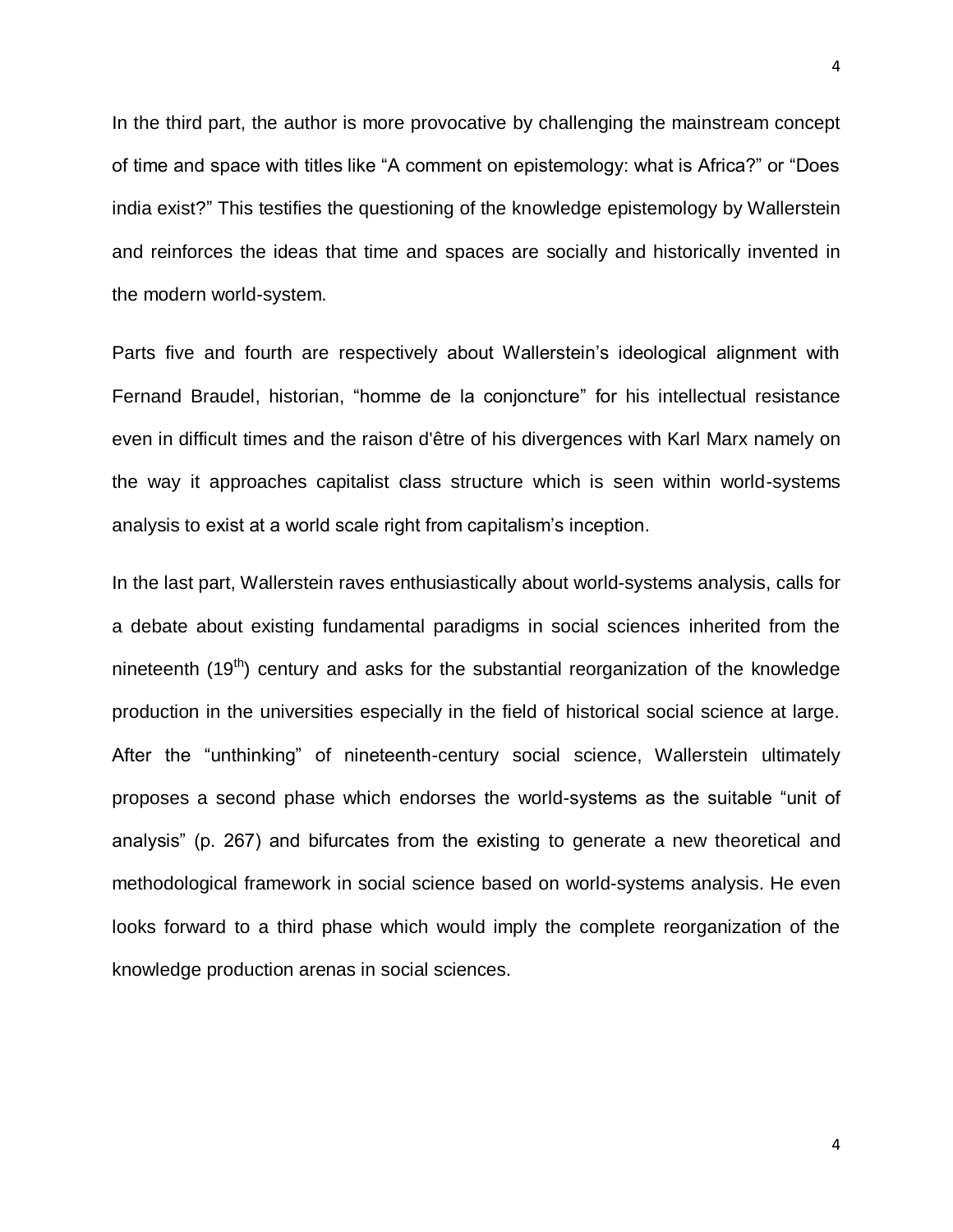In the third part, the author is more provocative by challenging the mainstream concept of time and space with titles like "A comment on epistemology: what is Africa?" or "Does india exist?" This testifies the questioning of the knowledge epistemology by Wallerstein and reinforces the ideas that time and spaces are socially and historically invented in the modern world-system.

Parts five and fourth are respectively about Wallerstein's ideological alignment with Fernand Braudel, historian, "homme de la conjoncture" for his intellectual resistance even in difficult times and the raison d'être of his divergences with Karl Marx namely on the way it approaches capitalist class structure which is seen within world-systems analysis to exist at a world scale right from capitalism's inception.

In the last part, Wallerstein raves enthusiastically about world-systems analysis, calls for a debate about existing fundamental paradigms in social sciences inherited from the nineteenth  $(19<sup>th</sup>)$  century and asks for the substantial reorganization of the knowledge production in the universities especially in the field of historical social science at large. After the "unthinking" of nineteenth-century social science, Wallerstein ultimately proposes a second phase which endorses the world-systems as the suitable "unit of analysis" (p. 267) and bifurcates from the existing to generate a new theoretical and methodological framework in social science based on world-systems analysis. He even looks forward to a third phase which would imply the complete reorganization of the knowledge production arenas in social sciences.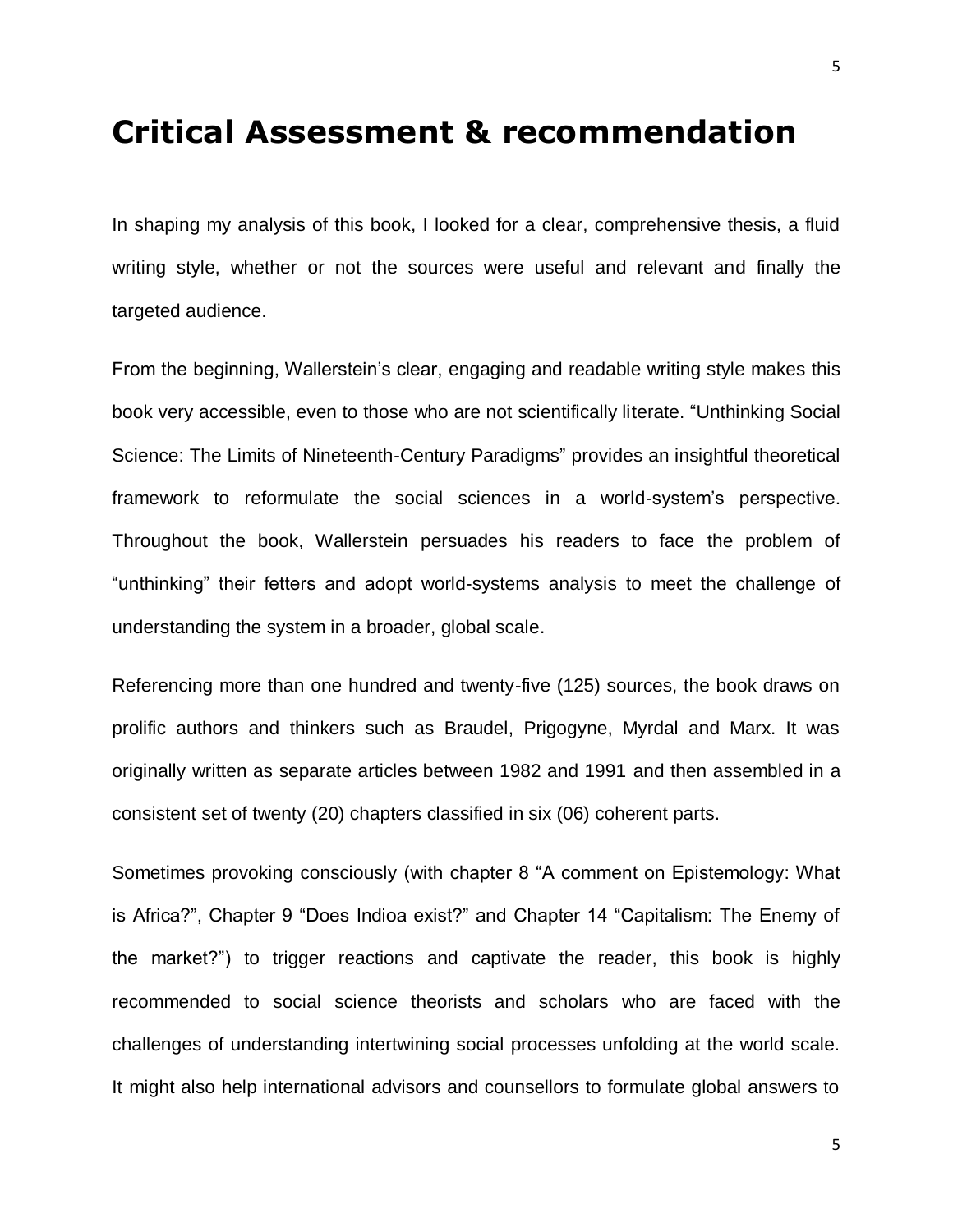#### <span id="page-4-0"></span>**Critical Assessment & recommendation**

In shaping my analysis of this book, I looked for a clear, comprehensive thesis, a fluid writing style, whether or not the sources were useful and relevant and finally the targeted audience.

From the beginning, Wallerstein's clear, engaging and readable writing style makes this book very accessible, even to those who are not scientifically literate. "Unthinking Social Science: The Limits of Nineteenth-Century Paradigms" provides an insightful theoretical framework to reformulate the social sciences in a world-system's perspective. Throughout the book, Wallerstein persuades his readers to face the problem of "unthinking" their fetters and adopt world-systems analysis to meet the challenge of understanding the system in a broader, global scale.

Referencing more than one hundred and twenty-five (125) sources, the book draws on prolific authors and thinkers such as Braudel, Prigogyne, Myrdal and Marx. It was originally written as separate articles between 1982 and 1991 and then assembled in a consistent set of twenty (20) chapters classified in six (06) coherent parts.

Sometimes provoking consciously (with chapter 8 "A comment on Epistemology: What is Africa?", Chapter 9 "Does Indioa exist?" and Chapter 14 "Capitalism: The Enemy of the market?") to trigger reactions and captivate the reader, this book is highly recommended to social science theorists and scholars who are faced with the challenges of understanding intertwining social processes unfolding at the world scale. It might also help international advisors and counsellors to formulate global answers to